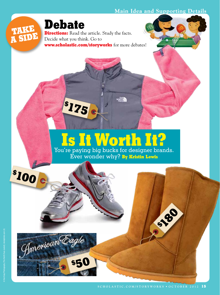## **Main Idea and Supporting Details**



**Debate**

**\$ 175**

**Directions:** Read the article. Study the facts. Decide what you think. Go to **www.scholastic.com/storyworks** for more debates!

## **Is It Worth It?**

 $\frac{1}{2}$ 

You're paying big bucks for designer brands. Ever wonder why? **By Kristin Lewis**

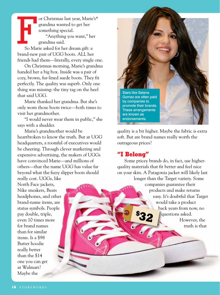$\prod_{\mathrm{So~Max}}$ or Christmas last year, Marie's\* grandma wanted to get her something special. "Anything you want," her grandma said. So Marie asked for her dream gift: a

brand-new pair of UGG boots. ALL her friends had them—literally, every single one.

On Christmas morning, Marie's grandma handed her a big box. Inside was a pair of cozy, brown, fur-lined suede boots. They fit perfectly. The quality was superb. Only one thing was missing: the tiny tag on the heel that said UGG.

Marie thanked her grandma. But she's only worn those boots twice—both times to visit her grandmother.

"I would never wear them in public," she says with a shudder.

Marie's grandmother would be heartbroken to know the truth. But at UGG headquarters, a roomful of executives would be cheering. Through clever marketing and expensive advertising, the makers of UGGs have convinced Marie—and millions of others—that the name UGG has value far beyond what the fuzzy slipper boots should really cost. UGGs, like

North Face jackets, Nike sneakers, Beats headphones, and other brand-name items, are status symbols. People pay double, triple, even 10 times more for brand names than for similar items. Is a \$98 Butter hoodie really better than the \$14 one you can get at Walmart? Maybe the



quality is a bit higher. Maybe the fabric is extra soft. But are brand names really worth the outrageous prices?

## **"I Belong"**

Some pricey brands do, in fact, use higherquality materials that fit better and feel nice on your skin. A Patagonia jacket will likely last longer than the Target variety. Some companies guarantee their products and make returns easy. It's doubtful that Target would take a product back years from now, no questions asked. However, the truth is that **\$ 32**